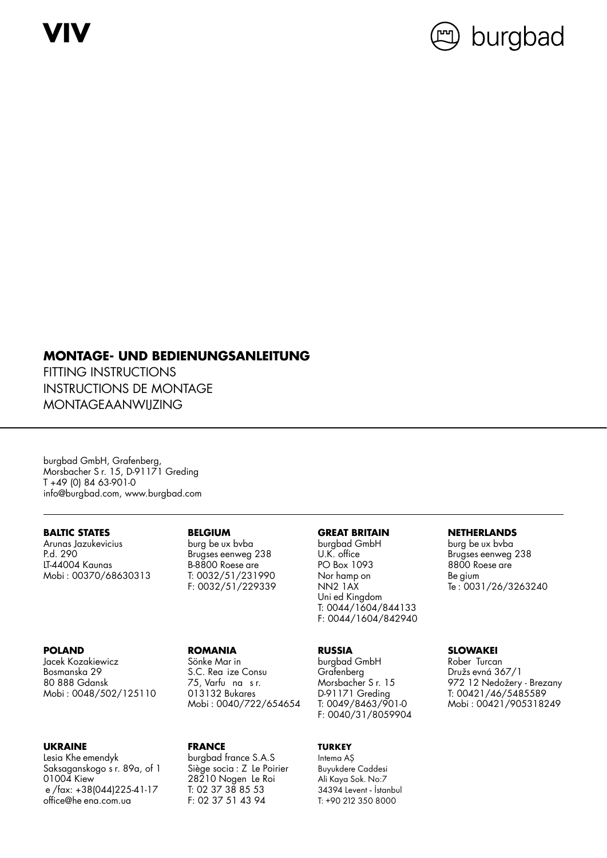**VIV**



# **MONTAGE- UND BEDIENUNGSANLEITUNG**

FITTING INSTRUCTIONS INSTRUCTIONS DE MONTAGE MONTAGEAANWIJZING

burgbad GmbH, Grafenberg, Morsbacher S r. 15, D-91171 Greding T +49 (0) 84 63-901-0 info@burgbad.com, www.burgbad.com

Arunas Jazukevicius burg be ux bvba burgbad GmbH burg be ux bvba LT-44004 Kaunas B-8800 Roese are PO Box 1093 8800 Roese are

Prugses eenweg 238 U.K. office<br>B-8800 Roese are Brugges Brugses PO Box 1093

Jacek Kozakiewicz Sönke Mar in burgbad GmbH Rober Turcan Bosmanska 29 S.C. Rea ize Consu Grafenberg Družs evná 367/1

### **UKRAINE FRANCE TURKEY**

Lesia Khe emendyk burgbad france S.A.S Intema AŞ Saksaganskogo s<sup>r.</sup> 89a, of 1 Siège socia : Z Le Poirier Buyukdere Caddesi<br>198210 Nogen Le Roi Ali Kaya Sok. No:7 e /fax: +38(044)225-41-17 T: 02 37 38 85 53<br>office@he ena.com.ua F: 02 37 51 43 94 office@he ena.com.ua F: 02 37 51 43 94 T: +90 212 350 8000

Mobi: 0040/722/654654 T: 0049/8463/901-0

28210 Nogen Le Roi Ali Kaya Sok. No:7<br>T: 02 37 38 85 53 34394 Levent - İstanbul

**BALTIC STATES BELGIUM GREAT BRITAIN NETHERLANDS** Mobi : 00370/68630313 T: 0032/51/231990 Nor hamp on Be gium<br>F: 0032/51/229339 NN2 1AX Te : 003 Uni ed Kingdom T: 0044/1604/844133 F: 0044/1604/842940

F: 0040/31/8059904

Te: 0031/26/3263240

### **POLAND ROMANIA RUSSIA SLOWAKEI**

80 888 Gdansk 75, Varfu na s r. Morsbacher S r. 15 972 12 Nedožery - Brezany Mobi : 0048/502/125110 013132 Bukares D-91171 Greding T: 00421/46/5485589<br>Mobi : 0040/722/654654 T: 0049/8463/901-0 Mobi : 00421/905318249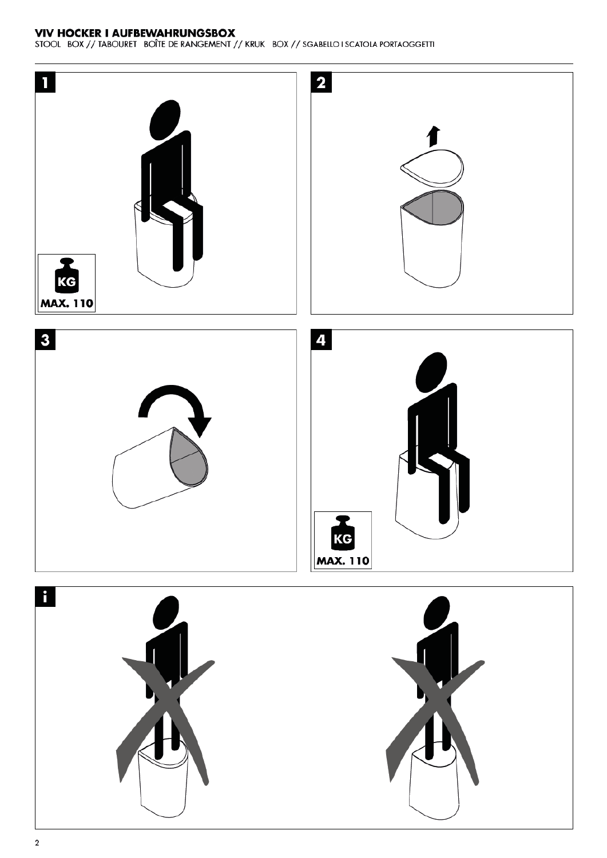## **VIV HOCKER I AUFBEWAHRUNGSBOX**

STOOL BOX // TABOURET BOÎTE DE RANGEMENT // KRUK BOX // SGABELLO I SCATOLA PORTAOGGETTI